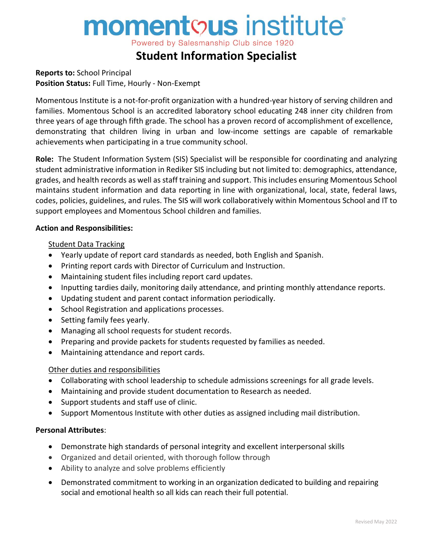# **momentous** institute®

Powered by Salesmanship Club since 1920

# **Student Information Specialist**

**Reports to:** School Principal **Position Status:** Full Time, Hourly - Non-Exempt

Momentous Institute is a not-for-profit organization with a hundred-year history of serving children and families. Momentous School is an accredited laboratory school educating 248 inner city children from three years of age through fifth grade. The school has a proven record of accomplishment of excellence, demonstrating that children living in urban and low-income settings are capable of remarkable achievements when participating in a true community school.

**Role:** The Student Information System (SIS) Specialist will be responsible for coordinating and analyzing student administrative information in Rediker SIS including but not limited to: demographics, attendance, grades, and health records as well as staff training and support. This includes ensuring Momentous School maintains student information and data reporting in line with organizational, local, state, federal laws, codes, policies, guidelines, and rules. The SIS will work collaboratively within Momentous School and IT to support employees and Momentous School children and families.

### **Action and Responsibilities:**

### Student Data Tracking

- Yearly update of report card standards as needed, both English and Spanish.
- Printing report cards with Director of Curriculum and Instruction.
- Maintaining student files including report card updates.
- Inputting tardies daily, monitoring daily attendance, and printing monthly attendance reports.
- Updating student and parent contact information periodically.
- School Registration and applications processes.
- Setting family fees yearly.
- Managing all school requests for student records.
- Preparing and provide packets for students requested by families as needed.
- Maintaining attendance and report cards.

### Other duties and responsibilities

- Collaborating with school leadership to schedule admissions screenings for all grade levels.
- Maintaining and provide student documentation to Research as needed.
- Support students and staff use of clinic.
- Support Momentous Institute with other duties as assigned including mail distribution.

### **Personal Attributes**:

- Demonstrate high standards of personal integrity and excellent interpersonal skills
- Organized and detail oriented, with thorough follow through
- Ability to analyze and solve problems efficiently
- Demonstrated commitment to working in an organization dedicated to building and repairing social and emotional health so all kids can reach their full potential.